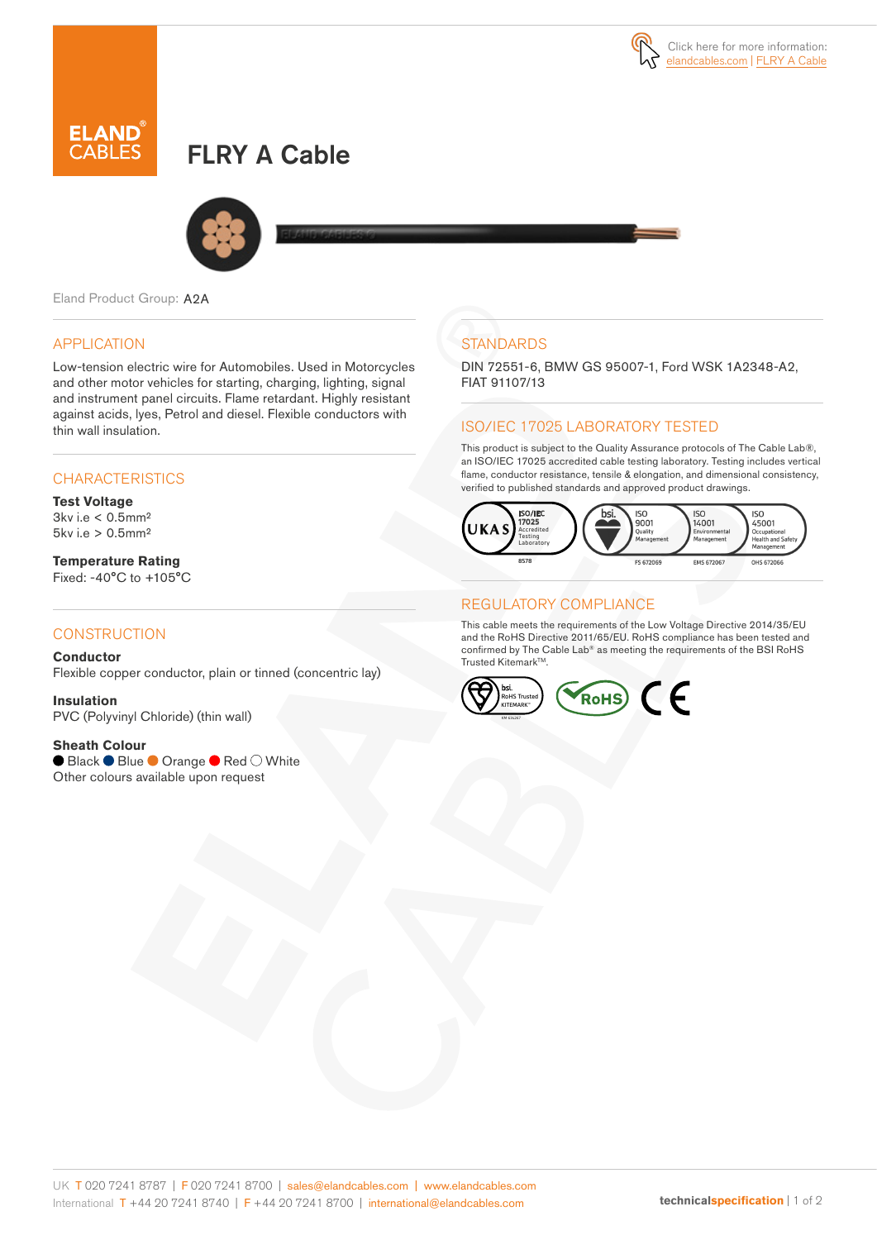

# FLRY A Cable



Eland Product Group: A2A

#### APPLICATION

Low-tension electric wire for Automobiles. Used in Motorcycles and other motor vehicles for starting, charging, lighting, signal and instrument panel circuits. Flame retardant. Highly resistant against acids, lyes, Petrol and diesel. Flexible conductors with thin wall insulation.

### **CHARACTERISTICS**

**Test Voltage** 3kv i.e < 0.5mm² 5kv i.e > 0.5mm²

**Temperature Rating** Fixed: -40°C to +105°C

#### **CONSTRUCTION**

#### **Conductor**

Flexible copper conductor, plain or tinned (concentric lay)

**Insulation** PVC (Polyvinyl Chloride) (thin wall)

#### **Sheath Colour**

● Black ● Blue ● Orange ● Red ○ White Other colours available upon request

## **STANDARDS**

DIN 72551-6, BMW GS 95007-1, Ford WSK 1A2348-A2, FIAT 91107/13

#### ISO/IEC 17025 LABORATORY TESTED

This product is subject to the Quality Assurance protocols of The Cable Lab®, an ISO/IEC 17025 accredited cable testing laboratory. Testing includes vertical flame, conductor resistance, tensile & elongation, and dimensional consistency, verified to published standards and approved product drawings.



### REGULATORY COMPLIANCE

This cable meets the requirements of the Low Voltage Directive 2014/35/EU and the RoHS Directive 2011/65/EU. RoHS compliance has been tested and confirmed by The Cable Lab® as meeting the requirements of the BSI RoHS Trusted Kitemark™.